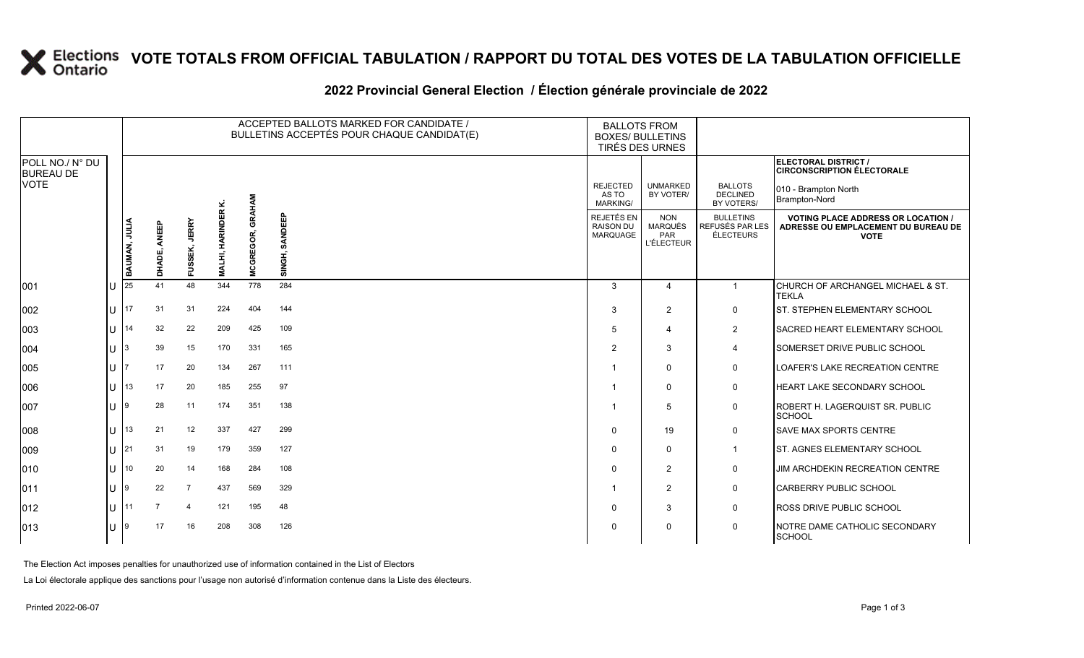### **VOTE TOTALS FROM OFFICIAL TABULATION / RAPPORT DU TOTAL DES VOTES DE LA TABULATION OFFICIELLE**

#### 2022 Provincial General Election / Election générale provinciale de 2022

|                                     | ACCEPTED BALLOTS MARKED FOR CANDIDATE /<br>BULLETINS ACCEPTÉS POUR CHAQUE CANDIDAT(E) |                 |                           |                             |                            |                   |                                                   | <b>BALLOTS FROM</b><br><b>BOXES/ BULLETINS</b><br>TIRÉS DES URNES |                                                         |                                                                                                 |
|-------------------------------------|---------------------------------------------------------------------------------------|-----------------|---------------------------|-----------------------------|----------------------------|-------------------|---------------------------------------------------|-------------------------------------------------------------------|---------------------------------------------------------|-------------------------------------------------------------------------------------------------|
| POLL NO./ N° DU<br><b>BUREAU DE</b> |                                                                                       |                 |                           |                             |                            |                   |                                                   |                                                                   |                                                         | <b>ELECTORAL DISTRICT /</b><br><b>CIRCONSCRIPTION ÉLECTORALE</b>                                |
| <b>VOTE</b>                         |                                                                                       |                 |                           |                             |                            |                   | <b>REJECTED</b><br>AS TO<br><b>MARKING/</b>       | <b>UNMARKED</b><br>BY VOTER/                                      | <b>BALLOTS</b><br><b>DECLINED</b><br>BY VOTERS/         | 010 - Brampton North<br>Brampton-Nord                                                           |
|                                     | <b>BAUMAN, JULIA</b>                                                                  | ANEEP<br>DHADE, | <b>JERRY</b><br>SEK,<br>Ë | <b>HARINDER K</b><br>MALHI, | <b>GRAHAM</b><br>MCGREGOR, | SANDEEP<br>SINGH, | REJETÉS EN<br><b>RAISON DU</b><br><b>MARQUAGE</b> | <b>NON</b><br>MARQUÉS<br>PAR<br><b>L'ÉLECTEUR</b>                 | <b>BULLETINS</b><br>REFUSÉS PAR LES<br><b>ÉLECTEURS</b> | <b>VOTING PLACE ADDRESS OR LOCATION /</b><br>ADRESSE OU EMPLACEMENT DU BUREAU DE<br><b>VOTE</b> |
| 001                                 | 25                                                                                    | 41              | 48                        | 344                         | 778                        | 284               | $\mathcal{S}$                                     | 4                                                                 | $\mathbf{1}$                                            | CHURCH OF ARCHANGEL MICHAEL & ST.                                                               |
| 002                                 | 117                                                                                   | 31              | 31                        | 224                         | 404                        | 144               | 3                                                 | 2                                                                 | 0                                                       | <b>TEKLA</b><br>ST. STEPHEN ELEMENTARY SCHOOL                                                   |
| 003                                 | 14                                                                                    | 32              | 22                        | 209                         | 425                        | 109               | 5                                                 | 4                                                                 | $\overline{2}$                                          | <b>I</b> SACRED HEART ELEMENTARY SCHOOL                                                         |
| 004                                 |                                                                                       | 39              | 15                        | 170                         | 331                        | 165               | 2                                                 | 3                                                                 | 4                                                       | <b>SOMERSET DRIVE PUBLIC SCHOOL</b>                                                             |
| 005                                 |                                                                                       | 17              | 20                        | 134                         | 267                        | 111               |                                                   | $\Omega$                                                          | 0                                                       | <b>LOAFER'S LAKE RECREATION CENTRE</b>                                                          |
| 006                                 | 13                                                                                    | 17              | 20                        | 185                         | 255                        | 97                |                                                   | $\Omega$                                                          | $\mathbf 0$                                             | <b>HEART LAKE SECONDARY SCHOOL</b>                                                              |
| 007                                 |                                                                                       | 28              | 11                        | 174                         | 351                        | 138               |                                                   | 5                                                                 | $\mathbf 0$                                             | ROBERT H. LAGERQUIST SR. PUBLIC<br>SCHOOL                                                       |
| 008                                 | 13                                                                                    | 21              | 12                        | 337                         | 427                        | 299               | $\Omega$                                          | 19                                                                | 0                                                       | <b>SAVE MAX SPORTS CENTRE</b>                                                                   |
| 009                                 | 121                                                                                   | 31              | 19                        | 179                         | 359                        | 127               | $\Omega$                                          | $\Omega$                                                          | $\overline{1}$                                          | <b>I</b> ST. AGNES ELEMENTARY SCHOOL                                                            |
| 010                                 | 10                                                                                    | 20              | 14                        | 168                         | 284                        | 108               | $\Omega$                                          | 2                                                                 | 0                                                       | JIM ARCHDEKIN RECREATION CENTRE                                                                 |
| 011                                 |                                                                                       | 22              | $\overline{7}$            | 437                         | 569                        | 329               | -1                                                | 2                                                                 | $\mathbf 0$                                             | <b>CARBERRY PUBLIC SCHOOL</b>                                                                   |
| 012                                 | 11                                                                                    | $\overline{7}$  | $\overline{4}$            | 121                         | 195                        | 48                | $\Omega$                                          | 3                                                                 | 0                                                       | <b>ROSS DRIVE PUBLIC SCHOOL</b>                                                                 |
| 013                                 |                                                                                       | 17              | 16                        | 208                         | 308                        | 126               | $\Omega$                                          | $\mathbf 0$                                                       | 0                                                       | NOTRE DAME CATHOLIC SECONDARY<br>SCHOOL                                                         |

The Election Act imposes penalties for unauthorized use of information contained in the List of Electors

La Loi électorale applique des sanctions pour l'usage non autorisé d'information contenue dans la Liste des électeurs.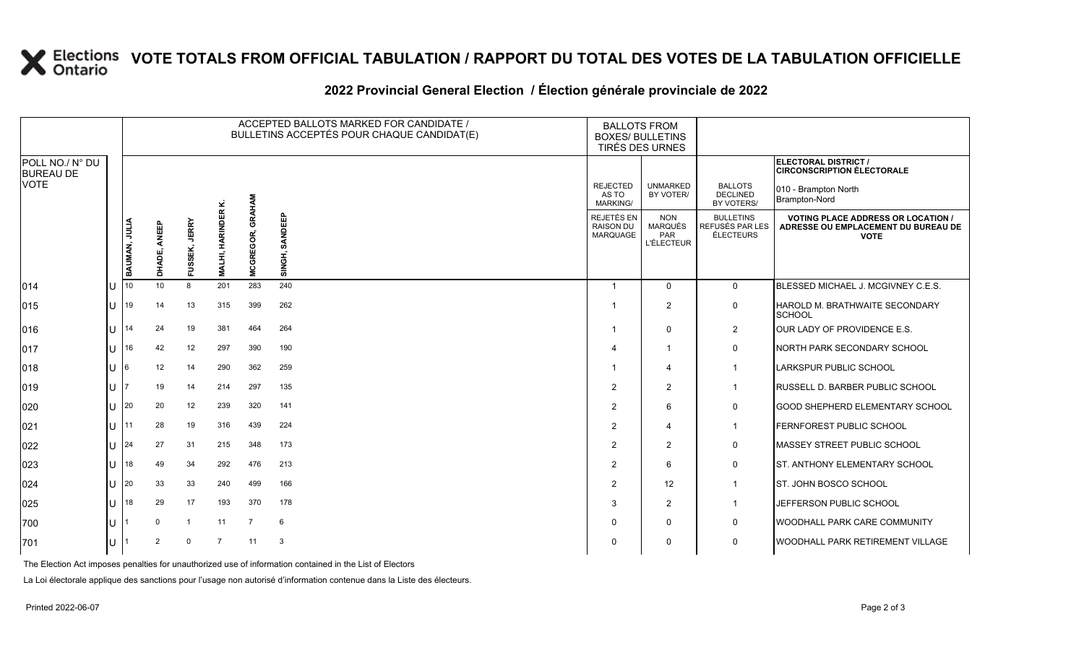# **X** Elections VOTE TOTALS FROM OFFICIAL TABULATION / RAPPORT DU TOTAL DES VOTES DE LA TABULATION OFFICIELLE

### **2022 Provincial General Election / Élection générale provinciale de 2022**

|                                                    |     | ACCEPTED BALLOTS MARKED FOR CANDIDATE /<br>BULLETINS ACCEPTÉS POUR CHAQUE CANDIDAT(E) |                 |                         |                    |                       |                   | <b>BALLOTS FROM</b><br><b>BOXES/ BULLETINS</b><br>TIRÉS DES URNES |                                                                 |                                                  |                                                                                                 |
|----------------------------------------------------|-----|---------------------------------------------------------------------------------------|-----------------|-------------------------|--------------------|-----------------------|-------------------|-------------------------------------------------------------------|-----------------------------------------------------------------|--------------------------------------------------|-------------------------------------------------------------------------------------------------|
| POLL NO./ N° DU<br><b>BUREAU DE</b><br><b>VOTE</b> |     |                                                                                       |                 |                         |                    |                       |                   |                                                                   |                                                                 |                                                  | ELECTORAL DISTRICT /<br><b>CIRCONSCRIPTION ÉLECTORALE</b>                                       |
|                                                    |     |                                                                                       |                 |                         | نح                 | GRAHAM                |                   | <b>REJECTED</b><br>AS TO<br><b>MARKING/</b>                       | <b>UNMARKED</b><br>BY VOTER/                                    | <b>BALLOTS</b><br><b>DECLINED</b><br>BY VOTERS/  | 010 - Brampton North<br>Brampton-Nord                                                           |
|                                                    |     | BAUMAN, JULIA                                                                         | ANEEP<br>DHADE, | <b>JERRY</b><br>FUSSEK, | HARINDER<br>MALHI, | GOR,<br><b>MCGREC</b> | SANDEEP<br>SINGH, | REJETÉS EN<br><b>RAISON DU</b><br><b>MARQUAGE</b>                 | <b>NON</b><br><b>MARQUÉS</b><br><b>PAR</b><br><b>L'ÉLECTEUR</b> | <b>BULLETINS</b><br>REFUSÉS PAR LES<br>ÉLECTEURS | <b>VOTING PLACE ADDRESS OR LOCATION /</b><br>ADRESSE OU EMPLACEMENT DU BUREAU DE<br><b>VOTE</b> |
| 014                                                | IU  | 10                                                                                    | 10              | 8                       | 201                | 283                   | 240               | -1                                                                | $\mathbf{0}$                                                    | $\overline{0}$                                   | BLESSED MICHAEL J. MCGIVNEY C.E.S.                                                              |
| 015                                                | Ш   | 19                                                                                    | 14              | 13                      | 315                | 399                   | 262               | -1                                                                | 2                                                               | $\mathsf{O}$                                     | HAROLD M. BRATHWAITE SECONDARY<br>SCHOOL                                                        |
| 016                                                | ПT  | 14                                                                                    | 24              | 19                      | 381                | 464                   | 264               | -1                                                                | $\Omega$                                                        | $\overline{2}$                                   | OUR LADY OF PROVIDENCE E.S.                                                                     |
| 017                                                | IU. | 16                                                                                    | 42              | 12                      | 297                | 390                   | 190               | 4                                                                 | $\mathbf{1}$                                                    | 0                                                | NORTH PARK SECONDARY SCHOOL                                                                     |
| 018                                                | ΙU  | 6                                                                                     | 12              | 14                      | 290                | 362                   | 259               |                                                                   | $\overline{4}$                                                  | $\mathbf{1}$                                     | <b>LARKSPUR PUBLIC SCHOOL</b>                                                                   |
| 019                                                | IU  |                                                                                       | 19              | 14                      | 214                | 297                   | 135               | $\mathcal{P}$                                                     | 2                                                               | $\mathbf{1}$                                     | <b>RUSSELL D. BARBER PUBLIC SCHOOL</b>                                                          |
| 020                                                | ΙU  | 20                                                                                    | 20              | 12                      | 239                | 320                   | 141               | $\mathcal{P}$                                                     | 6                                                               | $\mathbf 0$                                      | GOOD SHEPHERD ELEMENTARY SCHOOL                                                                 |
| 021                                                | Ш   | 11                                                                                    | 28              | 19                      | 316                | 439                   | 224               | $\overline{2}$                                                    | $\boldsymbol{\Delta}$                                           | $\mathbf{1}$                                     | FERNFOREST PUBLIC SCHOOL                                                                        |
| 022                                                | ПT  | 24                                                                                    | 27              | 31                      | 215                | 348                   | 173               | 2                                                                 | 2                                                               | 0                                                | <b>IMASSEY STREET PUBLIC SCHOOL</b>                                                             |
| 023                                                | ΙU  | 18                                                                                    | 49              | 34                      | 292                | 476                   | 213               | $\overline{2}$                                                    | 6                                                               | $\mathbf 0$                                      | ST. ANTHONY ELEMENTARY SCHOOL                                                                   |
| 024                                                | IU  | 20                                                                                    | 33              | 33                      | 240                | 499                   | 166               | 2                                                                 | 12 <sup>2</sup>                                                 | $\mathbf{1}$                                     | ST. JOHN BOSCO SCHOOL                                                                           |
| 025                                                | ΙU  | 18                                                                                    | 29              | 17                      | 193                | 370                   | 178               | 3                                                                 | 2                                                               | $\mathbf{1}$                                     | JEFFERSON PUBLIC SCHOOL                                                                         |
| 700                                                | IU. |                                                                                       | $\Omega$        | $\overline{1}$          | 11                 | $\overline{7}$        | 6                 | $\Omega$                                                          | $\Omega$                                                        | 0                                                | <b>WOODHALL PARK CARE COMMUNITY</b>                                                             |
| 701                                                | IU  |                                                                                       | 2               | $\mathbf{0}$            | $\overline{7}$     | 11                    | 3                 | $\Omega$                                                          | $\Omega$                                                        | 0                                                | <b>WOODHALL PARK RETIREMENT VILLAGE</b>                                                         |

The Election Act imposes penalties for unauthorized use of information contained in the List of Electors

La Loi électorale applique des sanctions pour l'usage non autorisé d'information contenue dans la Liste des électeurs.